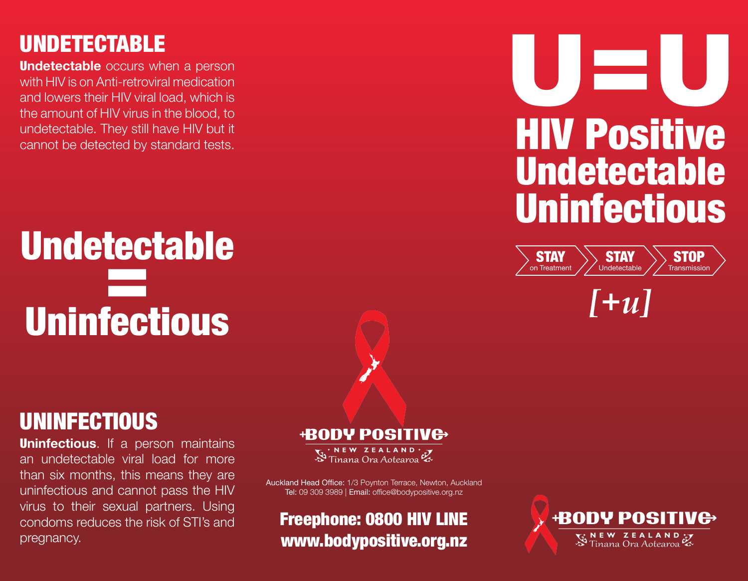## UNDETECTABLE

**Undetectable** occurs when a person with HIV is on Anti-retroviral medication and lowers their HIV viral load, which is the amount of HIV virus in the blood, to undetectable. They still have HIV but it cannot be detected by standard tests.

## Undetectable = Uninfectious

## UNINFECTIOUS

**Uninfectious**. If a person maintains an undetectable viral load for more than six months, this means they are uninfectious and cannot pass the HIV virus to their sexual partners. Using condoms reduces the risk of STI's and pregnancy.

### **+RODY POSITIV<del>C</del>**

NEW ZEALAND<br>Tinana Ora Aotearoa

Auckland Head Office: 1/3 Poynton Terrace, Newton, Auckland Tel: 09 309 3989 | Email: office@bodypositive.org.nz

#### Freephone: 0800 HIV LINE www.bodypositive.org.nz





*[+u]*